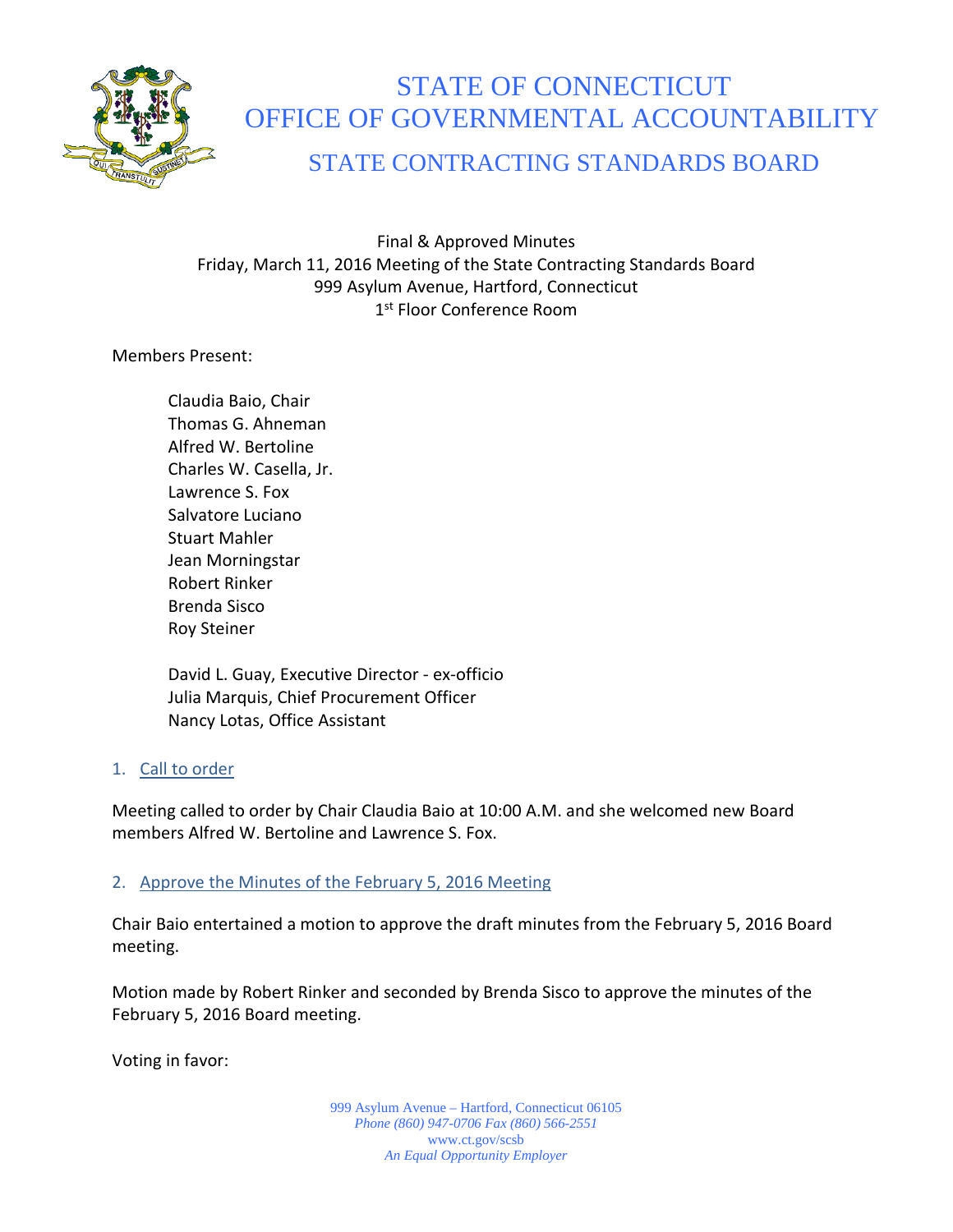

# STATE OF CONNECTICUT OFFICE OF GOVERNMENTAL ACCOUNTABILITY

# STATE CONTRACTING STANDARDS BOARD

Final & Approved Minutes Friday, March 11, 2016 Meeting of the State Contracting Standards Board 999 Asylum Avenue, Hartford, Connecticut 1st Floor Conference Room

Members Present:

Claudia Baio, Chair Thomas G. Ahneman Alfred W. Bertoline Charles W. Casella, Jr. Lawrence S. Fox Salvatore Luciano Stuart Mahler Jean Morningstar Robert Rinker Brenda Sisco Roy Steiner

David L. Guay, Executive Director - ex-officio Julia Marquis, Chief Procurement Officer Nancy Lotas, Office Assistant

# 1. Call to order

Meeting called to order by Chair Claudia Baio at 10:00 A.M. and she welcomed new Board members Alfred W. Bertoline and Lawrence S. Fox.

# 2. Approve the Minutes of the February 5, 2016 Meeting

Chair Baio entertained a motion to approve the draft minutes from the February 5, 2016 Board meeting.

Motion made by Robert Rinker and seconded by Brenda Sisco to approve the minutes of the February 5, 2016 Board meeting.

Voting in favor:

999 Asylum Avenue – Hartford, Connecticut 06105 *Phone (860) 947-0706 Fax (860) 566-2551* www.ct.gov/scsb *An Equal Opportunity Employer*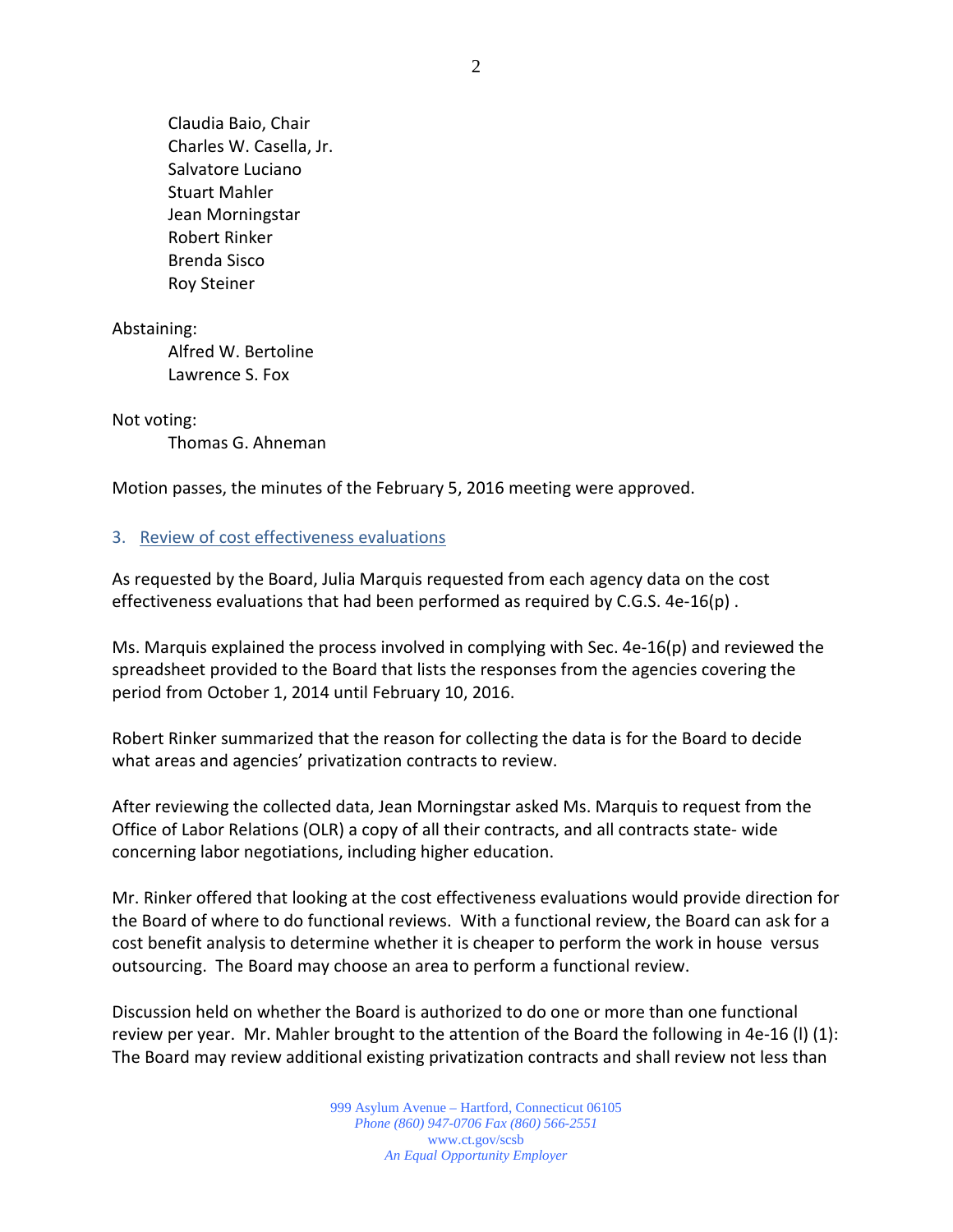Claudia Baio, Chair Charles W. Casella, Jr. Salvatore Luciano Stuart Mahler Jean Morningstar Robert Rinker Brenda Sisco Roy Steiner

Abstaining:

Alfred W. Bertoline Lawrence S. Fox

Not voting:

Thomas G. Ahneman

Motion passes, the minutes of the February 5, 2016 meeting were approved.

#### 3. Review of cost effectiveness evaluations

As requested by the Board, Julia Marquis requested from each agency data on the cost effectiveness evaluations that had been performed as required by C.G.S. 4e-16(p) .

Ms. Marquis explained the process involved in complying with Sec. 4e-16(p) and reviewed the spreadsheet provided to the Board that lists the responses from the agencies covering the period from October 1, 2014 until February 10, 2016.

Robert Rinker summarized that the reason for collecting the data is for the Board to decide what areas and agencies' privatization contracts to review.

After reviewing the collected data, Jean Morningstar asked Ms. Marquis to request from the Office of Labor Relations (OLR) a copy of all their contracts, and all contracts state- wide concerning labor negotiations, including higher education.

Mr. Rinker offered that looking at the cost effectiveness evaluations would provide direction for the Board of where to do functional reviews. With a functional review, the Board can ask for a cost benefit analysis to determine whether it is cheaper to perform the work in house versus outsourcing. The Board may choose an area to perform a functional review.

Discussion held on whether the Board is authorized to do one or more than one functional review per year. Mr. Mahler brought to the attention of the Board the following in 4e-16 (l) (1): The Board may review additional existing privatization contracts and shall review not less than

> 999 Asylum Avenue – Hartford, Connecticut 06105 *Phone (860) 947-0706 Fax (860) 566-2551* www.ct.gov/scsb *An Equal Opportunity Employer*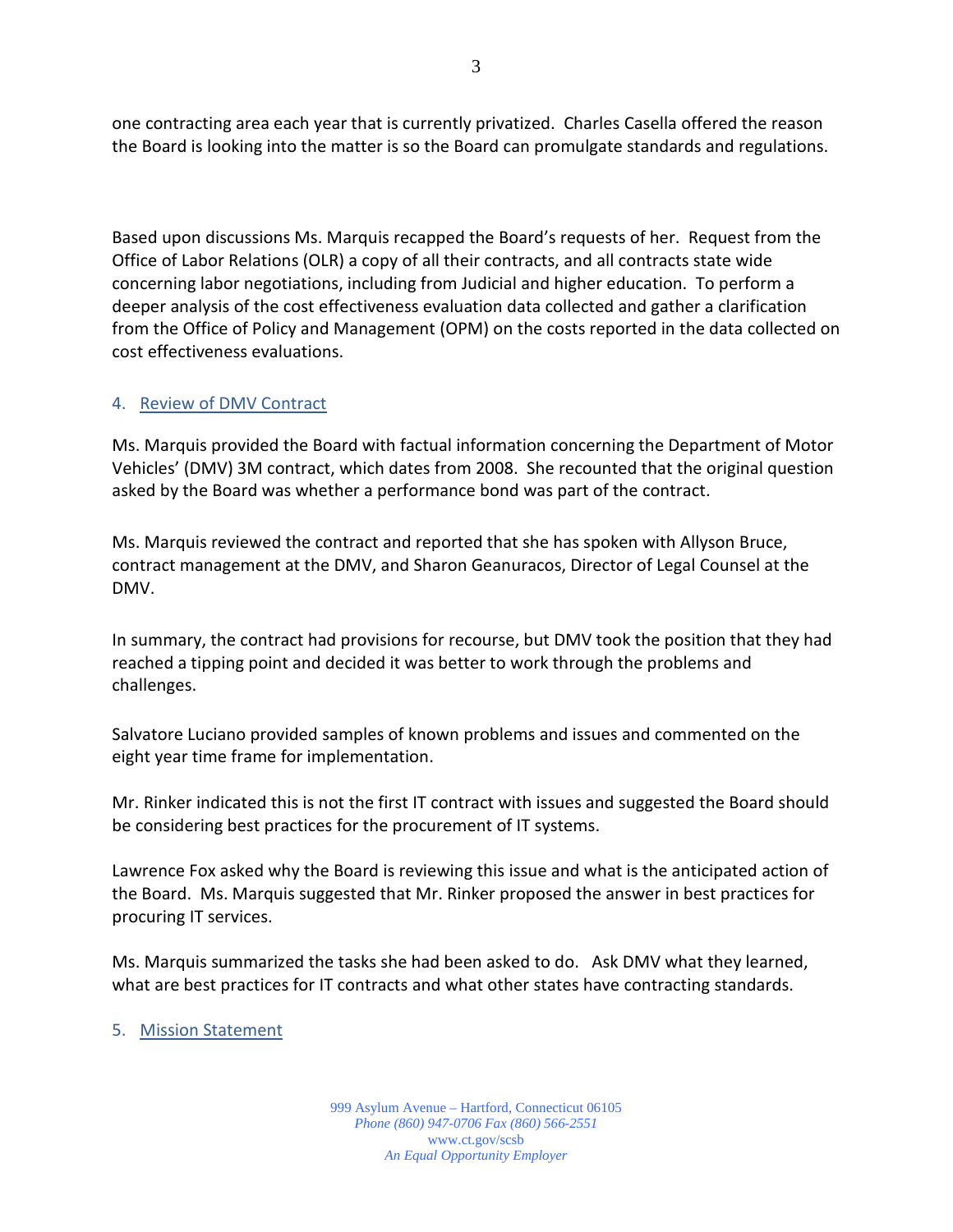one contracting area each year that is currently privatized. Charles Casella offered the reason the Board is looking into the matter is so the Board can promulgate standards and regulations.

Based upon discussions Ms. Marquis recapped the Board's requests of her. Request from the Office of Labor Relations (OLR) a copy of all their contracts, and all contracts state wide concerning labor negotiations, including from Judicial and higher education. To perform a deeper analysis of the cost effectiveness evaluation data collected and gather a clarification from the Office of Policy and Management (OPM) on the costs reported in the data collected on cost effectiveness evaluations.

### 4. Review of DMV Contract

Ms. Marquis provided the Board with factual information concerning the Department of Motor Vehicles' (DMV) 3M contract, which dates from 2008. She recounted that the original question asked by the Board was whether a performance bond was part of the contract.

Ms. Marquis reviewed the contract and reported that she has spoken with Allyson Bruce, contract management at the DMV, and Sharon Geanuracos, Director of Legal Counsel at the DMV.

In summary, the contract had provisions for recourse, but DMV took the position that they had reached a tipping point and decided it was better to work through the problems and challenges.

Salvatore Luciano provided samples of known problems and issues and commented on the eight year time frame for implementation.

Mr. Rinker indicated this is not the first IT contract with issues and suggested the Board should be considering best practices for the procurement of IT systems.

Lawrence Fox asked why the Board is reviewing this issue and what is the anticipated action of the Board. Ms. Marquis suggested that Mr. Rinker proposed the answer in best practices for procuring IT services.

Ms. Marquis summarized the tasks she had been asked to do. Ask DMV what they learned, what are best practices for IT contracts and what other states have contracting standards.

5. Mission Statement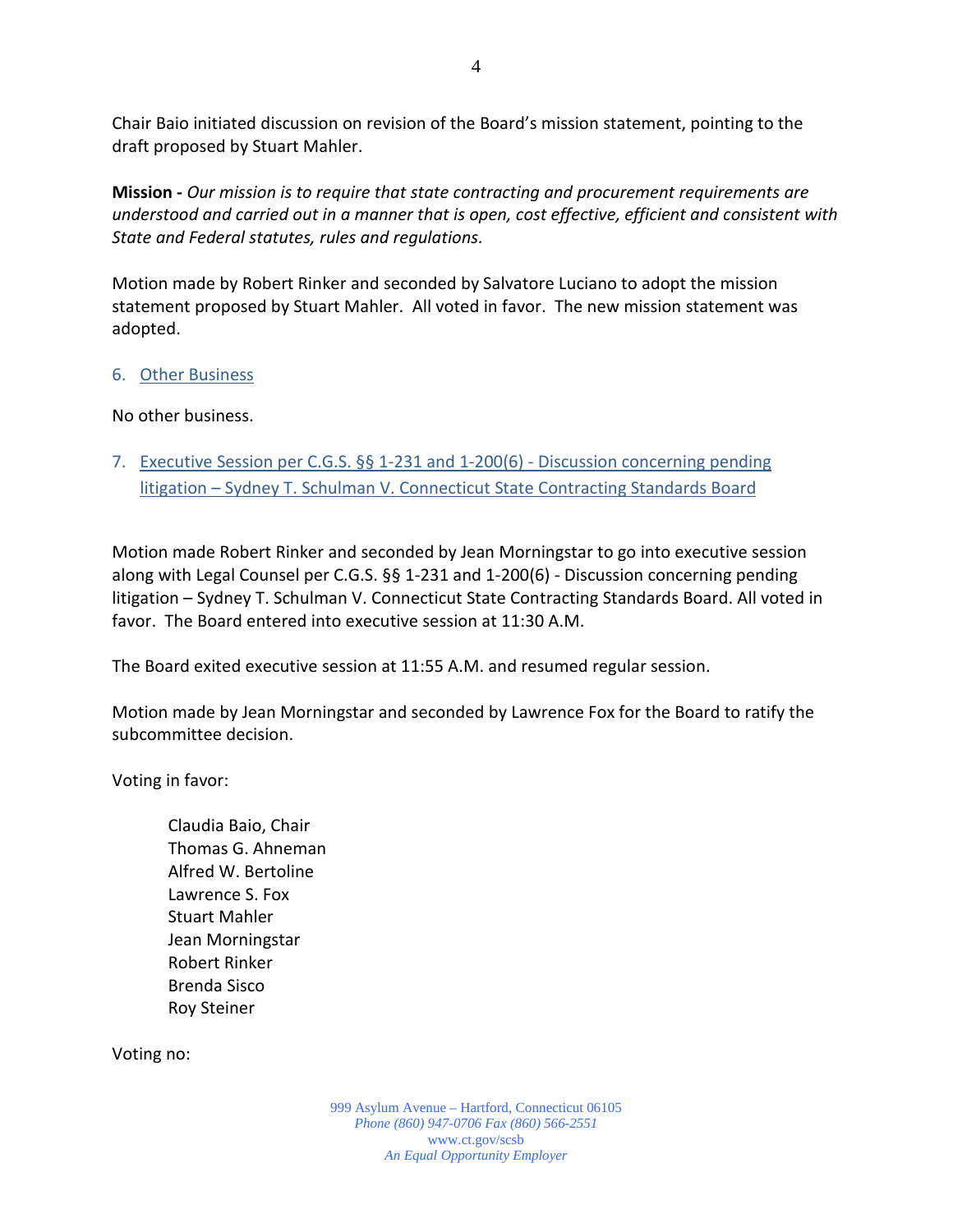Chair Baio initiated discussion on revision of the Board's mission statement, pointing to the draft proposed by Stuart Mahler.

**Mission -** *Our mission is to require that state contracting and procurement requirements are understood and carried out in a manner that is open, cost effective, efficient and consistent with State and Federal statutes, rules and regulations.*

Motion made by Robert Rinker and seconded by Salvatore Luciano to adopt the mission statement proposed by Stuart Mahler. All voted in favor. The new mission statement was adopted.

### 6. Other Business

No other business.

7. Executive Session per C.G.S. §§ 1-231 and 1-200(6) - Discussion concerning pending litigation – Sydney T. Schulman V. Connecticut State Contracting Standards Board

Motion made Robert Rinker and seconded by Jean Morningstar to go into executive session along with Legal Counsel per C.G.S. §§ 1-231 and 1-200(6) - Discussion concerning pending litigation – Sydney T. Schulman V. Connecticut State Contracting Standards Board. All voted in favor. The Board entered into executive session at 11:30 A.M.

The Board exited executive session at 11:55 A.M. and resumed regular session.

Motion made by Jean Morningstar and seconded by Lawrence Fox for the Board to ratify the subcommittee decision.

Voting in favor:

Claudia Baio, Chair Thomas G. Ahneman Alfred W. Bertoline Lawrence S. Fox Stuart Mahler Jean Morningstar Robert Rinker Brenda Sisco Roy Steiner

Voting no: